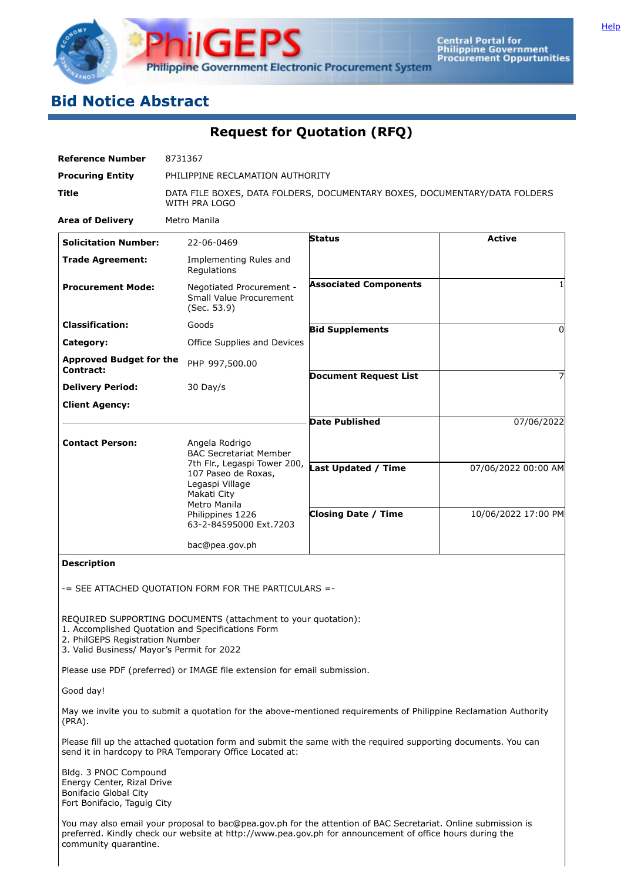

# **Bid Notice Abstract**

**Request for Quotation (RFQ)**

| <b>Reference Number</b>                     | 8731367                                                                                               |                              |                     |  |  |  |
|---------------------------------------------|-------------------------------------------------------------------------------------------------------|------------------------------|---------------------|--|--|--|
| <b>Procuring Entity</b>                     | PHILIPPINE RECLAMATION AUTHORITY                                                                      |                              |                     |  |  |  |
| <b>Title</b>                                | DATA FILE BOXES, DATA FOLDERS, DOCUMENTARY BOXES, DOCUMENTARY/DATA FOLDERS<br>WITH PRA LOGO           |                              |                     |  |  |  |
| <b>Area of Delivery</b>                     | Metro Manila                                                                                          |                              |                     |  |  |  |
| <b>Solicitation Number:</b>                 | 22-06-0469                                                                                            | <b>Status</b>                | <b>Active</b>       |  |  |  |
| <b>Trade Agreement:</b>                     | Implementing Rules and<br>Regulations                                                                 |                              |                     |  |  |  |
| <b>Procurement Mode:</b>                    | Negotiated Procurement -<br><b>Small Value Procurement</b><br>(Sec. 53.9)                             | <b>Associated Components</b> |                     |  |  |  |
| <b>Classification:</b>                      | Goods                                                                                                 | <b>Bid Supplements</b>       | 0                   |  |  |  |
| Category:                                   | Office Supplies and Devices                                                                           |                              |                     |  |  |  |
| <b>Approved Budget for the</b><br>Contract: | PHP 997,500.00                                                                                        |                              |                     |  |  |  |
|                                             |                                                                                                       | <b>Document Request List</b> |                     |  |  |  |
| <b>Delivery Period:</b>                     | 30 Day/s                                                                                              |                              |                     |  |  |  |
| <b>Client Agency:</b>                       |                                                                                                       |                              |                     |  |  |  |
|                                             |                                                                                                       | <b>Date Published</b>        | 07/06/2022          |  |  |  |
| <b>Contact Person:</b>                      | Angela Rodrigo<br><b>BAC Secretariat Member</b>                                                       |                              |                     |  |  |  |
|                                             | 7th Flr., Legaspi Tower 200,<br>107 Paseo de Roxas,<br>Legaspi Village<br>Makati City<br>Metro Manila | <b>Last Updated / Time</b>   | 07/06/2022 00:00 AM |  |  |  |
|                                             | Philippines 1226<br>63-2-84595000 Ext.7203                                                            | <b>Closing Date / Time</b>   | 10/06/2022 17:00 PM |  |  |  |
|                                             | bac@pea.gov.ph                                                                                        |                              |                     |  |  |  |

**Description**

-= SEE ATTACHED QUOTATION FORM FOR THE PARTICULARS =-

REQUIRED SUPPORTING DOCUMENTS (attachment to your quotation):

1. Accomplished Quotation and Specifications Form

2. PhilGEPS Registration Number

3. Valid Business/ Mayor's Permit for 2022

Please use PDF (preferred) or IMAGE file extension for email submission.

Good day!

May we invite you to submit a quotation for the above-mentioned requirements of Philippine Reclamation Authority (PRA).

Please fill up the attached quotation form and submit the same with the required supporting documents. You can send it in hardcopy to PRA Temporary Office Located at:

Bldg. 3 PNOC Compound Energy Center, Rizal Drive Bonifacio Global City Fort Bonifacio, Taguig City

You may also email your proposal to bac@pea.gov.ph for the attention of BAC Secretariat. Online submission is preferred. Kindly check our website at http://www.pea.gov.ph for announcement of office hours during the community quarantine.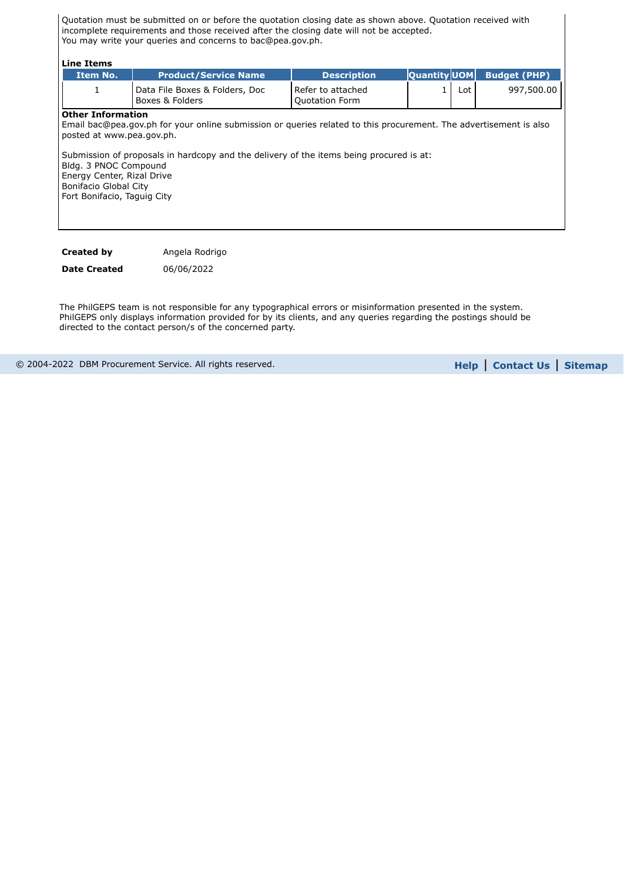Quotation must be submitted on or before the quotation closing date as shown above. Quotation received with incomplete requirements and those received after the closing date will not be accepted. You may write your queries and concerns to bac@pea.gov.ph.

| Line Items                                                                                                                                                                                                                                                                                                                                                                           |                                                   |                                            |                     |       |                     |
|--------------------------------------------------------------------------------------------------------------------------------------------------------------------------------------------------------------------------------------------------------------------------------------------------------------------------------------------------------------------------------------|---------------------------------------------------|--------------------------------------------|---------------------|-------|---------------------|
| Item No.                                                                                                                                                                                                                                                                                                                                                                             | <b>Product/Service Name</b>                       | <b>Description</b>                         | <b>Quantity UOM</b> |       | <b>Budget (PHP)</b> |
| 1                                                                                                                                                                                                                                                                                                                                                                                    | Data File Boxes & Folders, Doc<br>Boxes & Folders | Refer to attached<br><b>Quotation Form</b> | 1                   | Lot l | 997,500.00          |
| <b>Other Information</b><br>Email bac@pea.gov.ph for your online submission or queries related to this procurement. The advertisement is also<br>posted at www.pea.gov.ph.<br>Submission of proposals in hardcopy and the delivery of the items being procured is at:<br>Bldg. 3 PNOC Compound<br>Energy Center, Rizal Drive<br>Bonifacio Global City<br>Fort Bonifacio, Taguig City |                                                   |                                            |                     |       |                     |

**Created by Figure Angela Rodrigo** 

**Date Created** 06/06/2022

The PhilGEPS team is not responsible for any typographical errors or misinformation presented in the system. PhilGEPS only displays information provided for by its clients, and any queries regarding the postings should be directed to the contact person/s of the concerned party.

© 2004-2022 DBM Procurement Service. All rights reserved. **[Help](javascript:void(window.open()** | **Contact Us** | **[Sitemap](https://notices.philgeps.gov.ph/GEPSNONPILOT/Sitemap/Sitemap.aspx)**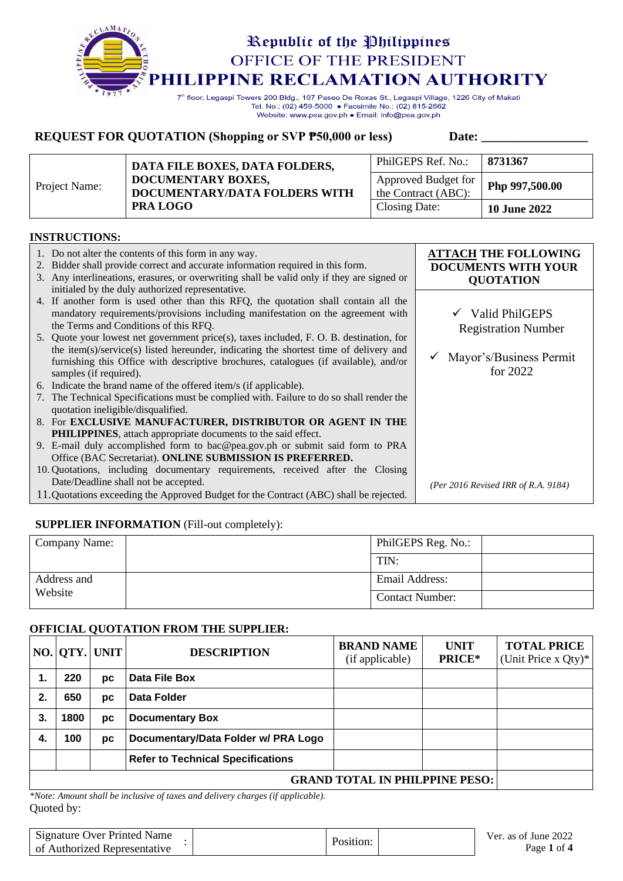

7<sup>th</sup> floor, Legaspi Towers 200 Bldg., 107 Paseo De Roxas St., Legaspi Village, 1226 City of Makati Tel. No.: (02) 459-5000 · Facsimile No.: (02) 815-2662 Website: www.pea.gov.ph . Email: info@pea.gov.ph

### **REQUEST FOR QUOTATION (Shopping or SVP**  $\overline{P50,000}$  **or less)** Date:

| Project Name: | DATA FILE BOXES, DATA FOLDERS,                                         | PhilGEPS Ref. No.:                                           | 8731367             |
|---------------|------------------------------------------------------------------------|--------------------------------------------------------------|---------------------|
|               | DOCUMENTARY BOXES,<br>DOCUMENTARY/DATA FOLDERS WITH<br><b>PRA LOGO</b> | Approved Budget for<br>Php 997,500.00<br>the Contract (ABC): |                     |
|               |                                                                        | Closing Date:                                                | <b>10 June 2022</b> |

#### **INSTRUCTIONS:**

| 1. Do not alter the contents of this form in any way.<br>2. Bidder shall provide correct and accurate information required in this form.<br>3. Any interlineations, erasures, or overwriting shall be valid only if they are signed or<br>initialed by the duly authorized representative. | <b>ATTACH THE FOLLOWING</b><br><b>DOCUMENTS WITH YOUR</b><br><b>QUOTATION</b> |
|--------------------------------------------------------------------------------------------------------------------------------------------------------------------------------------------------------------------------------------------------------------------------------------------|-------------------------------------------------------------------------------|
| 4. If another form is used other than this RFQ, the quotation shall contain all the<br>mandatory requirements/provisions including manifestation on the agreement with<br>the Terms and Conditions of this RFQ.                                                                            | $\checkmark$ Valid PhilGEPS<br><b>Registration Number</b>                     |
| 5. Quote your lowest net government price(s), taxes included, F. O. B. destination, for<br>the item(s)/service(s) listed hereunder, indicating the shortest time of delivery and                                                                                                           |                                                                               |
| furnishing this Office with descriptive brochures, catalogues (if available), and/or<br>samples (if required).                                                                                                                                                                             | Mayor's/Business Permit<br>for $2022$                                         |
| 6. Indicate the brand name of the offered item/s (if applicable).                                                                                                                                                                                                                          |                                                                               |
| 7. The Technical Specifications must be complied with. Failure to do so shall render the<br>quotation ineligible/disqualified.                                                                                                                                                             |                                                                               |
| 8. For EXCLUSIVE MANUFACTURER, DISTRIBUTOR OR AGENT IN THE                                                                                                                                                                                                                                 |                                                                               |
| <b>PHILIPPINES</b> , attach appropriate documents to the said effect.                                                                                                                                                                                                                      |                                                                               |
| 9. E-mail duly accomplished form to bac@pea.gov.ph or submit said form to PRA                                                                                                                                                                                                              |                                                                               |
| Office (BAC Secretariat). ONLINE SUBMISSION IS PREFERRED.                                                                                                                                                                                                                                  |                                                                               |
| 10. Quotations, including documentary requirements, received after the Closing                                                                                                                                                                                                             |                                                                               |
| Date/Deadline shall not be accepted.                                                                                                                                                                                                                                                       | (Per 2016 Revised IRR of R.A. 9184)                                           |
| 11. Quotations exceeding the Approved Budget for the Contract (ABC) shall be rejected.                                                                                                                                                                                                     |                                                                               |

#### **SUPPLIER INFORMATION** (Fill-out completely):

| Company Name: | PhilGEPS Reg. No.:     |  |
|---------------|------------------------|--|
|               | TIN:                   |  |
| Address and   | Email Address:         |  |
| Website       | <b>Contact Number:</b> |  |

#### **OFFICIAL QUOTATION FROM THE SUPPLIER:**

|    |                                       | NO. QTY. UNIT | <b>DESCRIPTION</b>                       | <b>BRAND NAME</b><br>(if applicable) | <b>UNIT</b><br><b>PRICE*</b> | <b>TOTAL PRICE</b><br>(Unit Price $x Qty$ )* |
|----|---------------------------------------|---------------|------------------------------------------|--------------------------------------|------------------------------|----------------------------------------------|
| 1. | 220                                   | рc            | Data File Box                            |                                      |                              |                                              |
| 2. | 650                                   | рc            | Data Folder                              |                                      |                              |                                              |
| 3. | 1800                                  | рc            | <b>Documentary Box</b>                   |                                      |                              |                                              |
| 4. | 100                                   | рc            | Documentary/Data Folder w/ PRA Logo      |                                      |                              |                                              |
|    |                                       |               | <b>Refer to Technical Specifications</b> |                                      |                              |                                              |
|    | <b>GRAND TOTAL IN PHILPPINE PESO:</b> |               |                                          |                                      |                              |                                              |

Quoted by: *\*Note: Amount shall be inclusive of taxes and delivery charges (if applicable).*

| <b>Signature Over Printed Name</b> | Position | Ver. as of June 2022 |
|------------------------------------|----------|----------------------|
| of Authorized Representative       |          | Page 1 of 4          |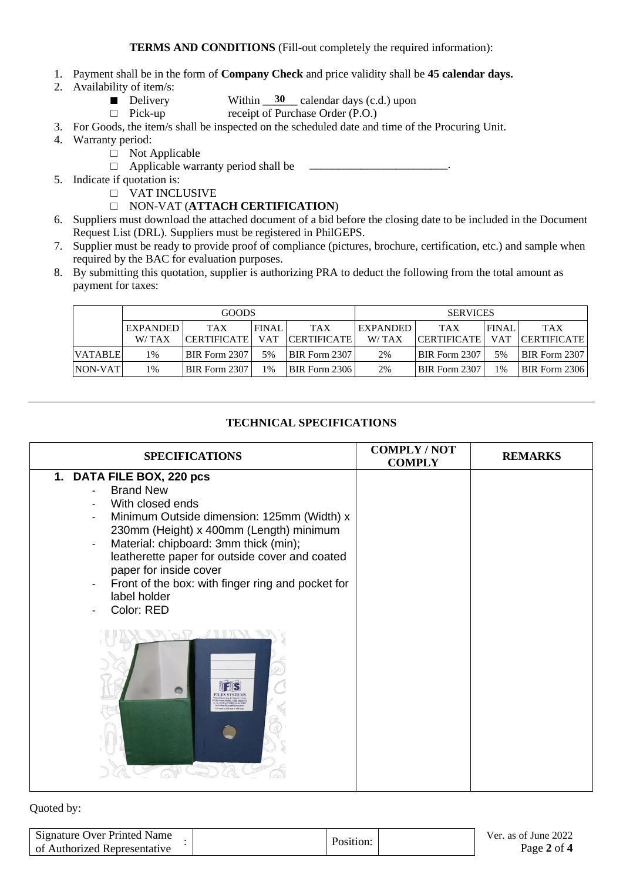- 1. Payment shall be in the form of **Company Check** and price validity shall be **45 calendar days.**
- 2. Availability of item/s:
	- Delivery Within  $\frac{30}{20}$  calendar days (c.d.) upon
	- □ Pick-up receipt of Purchase Order (P.O.)

3. For Goods, the item/s shall be inspected on the scheduled date and time of the Procuring Unit.

- 4. Warranty period:
	- □ Not Applicable
	- $\Box$  Applicable warranty period shall be
- 5. Indicate if quotation is:
	- □ VAT INCLUSIVE
	- □ NON-VAT (**ATTACH CERTIFICATION**)
- 6. Suppliers must download the attached document of a bid before the closing date to be included in the Document Request List (DRL). Suppliers must be registered in PhilGEPS.
- 7. Supplier must be ready to provide proof of compliance (pictures, brochure, certification, etc.) and sample when required by the BAC for evaluation purposes.
- 8. By submitting this quotation, supplier is authorizing PRA to deduct the following from the total amount as payment for taxes:

|                | <b>GOODS</b>    |                      |              |                    | <b>SERVICES</b> |                    |              |                      |
|----------------|-----------------|----------------------|--------------|--------------------|-----------------|--------------------|--------------|----------------------|
|                | <b>EXPANDED</b> | <b>TAX</b>           | <b>FINAL</b> | <b>TAX</b>         | <b>EXPANDED</b> | <b>TAX</b>         | <b>FINAL</b> | <b>TAX</b>           |
|                | W/TAX           | CERTIFICATE          | <b>VAT</b>   | <b>CERTIFICATE</b> | W/TAX           | <b>CERTIFICATE</b> | <b>VAT</b>   | <b>CERTIFICATE</b>   |
| <b>VATABLE</b> | 1%              | BIR Form 2307        | 5%           | BIR Form 2307      | 2%              | BIR Form 2307      | 5%           | <b>BIR Form 2307</b> |
| <b>NON-VAT</b> | 1%              | <b>BIR Form 2307</b> | 1%           | BIR Form 2306      | 2%              | BIR Form 2307      | 1%           | <b>BIR Form 2306</b> |

### **TECHNICAL SPECIFICATIONS**

| <b>SPECIFICATIONS</b>                                                                                                                                                                                                                                                                                                                                              | <b>COMPLY/NOT</b><br><b>COMPLY</b> | <b>REMARKS</b> |
|--------------------------------------------------------------------------------------------------------------------------------------------------------------------------------------------------------------------------------------------------------------------------------------------------------------------------------------------------------------------|------------------------------------|----------------|
| 1. DATA FILE BOX, 220 pcs<br><b>Brand New</b><br>With closed ends<br>Minimum Outside dimension: 125mm (Width) x<br>230mm (Height) x 400mm (Length) minimum<br>Material: chipboard: 3mm thick (min);<br>leatherette paper for outside cover and coated<br>paper for inside cover<br>Front of the box: with finger ring and pocket for<br>label holder<br>Color: RED |                                    |                |
| 25 mm x 230 mm x 400 m                                                                                                                                                                                                                                                                                                                                             |                                    |                |

#### Quoted by:

| Signature Over Printed Name  | Position: | Ver. as of June 2022 |
|------------------------------|-----------|----------------------|
| of Authorized Representative |           | Page 2 of 4          |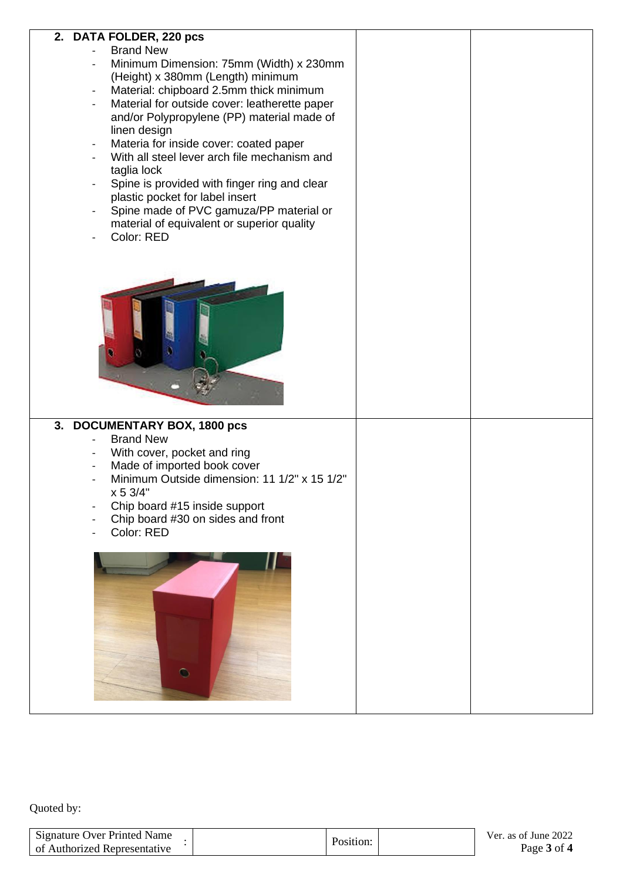| 2. DATA FOLDER, 220 pcs<br><b>Brand New</b>                                            |  |
|----------------------------------------------------------------------------------------|--|
| Minimum Dimension: 75mm (Width) x 230mm<br>$\qquad \qquad -$                           |  |
| (Height) x 380mm (Length) minimum                                                      |  |
| Material: chipboard 2.5mm thick minimum<br>$\overline{\phantom{a}}$                    |  |
| Material for outside cover: leatherette paper<br>$\overline{\phantom{a}}$              |  |
| and/or Polypropylene (PP) material made of                                             |  |
| linen design                                                                           |  |
| Materia for inside cover: coated paper<br>$\overline{\phantom{a}}$                     |  |
| With all steel lever arch file mechanism and<br>taglia lock                            |  |
| Spine is provided with finger ring and clear<br>$\overline{\phantom{0}}$               |  |
| plastic pocket for label insert                                                        |  |
| Spine made of PVC gamuza/PP material or<br>$\overline{\phantom{0}}$                    |  |
| material of equivalent or superior quality                                             |  |
| Color: RED                                                                             |  |
|                                                                                        |  |
|                                                                                        |  |
|                                                                                        |  |
|                                                                                        |  |
|                                                                                        |  |
|                                                                                        |  |
|                                                                                        |  |
|                                                                                        |  |
|                                                                                        |  |
|                                                                                        |  |
|                                                                                        |  |
| 3. DOCUMENTARY BOX, 1800 pcs                                                           |  |
| <b>Brand New</b>                                                                       |  |
| With cover, pocket and ring<br>Made of imported book cover<br>$\overline{\phantom{a}}$ |  |
| Minimum Outside dimension: 11 1/2" x 15 1/2"                                           |  |
| x 53/4"                                                                                |  |
| Chip board #15 inside support                                                          |  |
| Chip board #30 on sides and front                                                      |  |
| Color: RED                                                                             |  |
|                                                                                        |  |
|                                                                                        |  |
|                                                                                        |  |
|                                                                                        |  |
|                                                                                        |  |
|                                                                                        |  |
|                                                                                        |  |
|                                                                                        |  |
| $\bullet$                                                                              |  |
|                                                                                        |  |
|                                                                                        |  |

Quoted by:

| Signature Over Printed Name  |           | Ver. as of June 2022 |
|------------------------------|-----------|----------------------|
| of Authorized Representative | Position: | Page 3 of 4          |